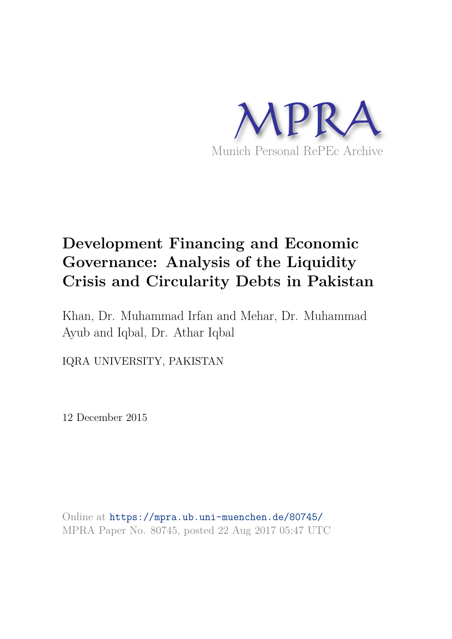

# **Development Financing and Economic Governance: Analysis of the Liquidity Crisis and Circularity Debts in Pakistan**

Khan, Dr. Muhammad Irfan and Mehar, Dr. Muhammad Ayub and Iqbal, Dr. Athar Iqbal

IQRA UNIVERSITY, PAKISTAN

12 December 2015

Online at https://mpra.ub.uni-muenchen.de/80745/ MPRA Paper No. 80745, posted 22 Aug 2017 05:47 UTC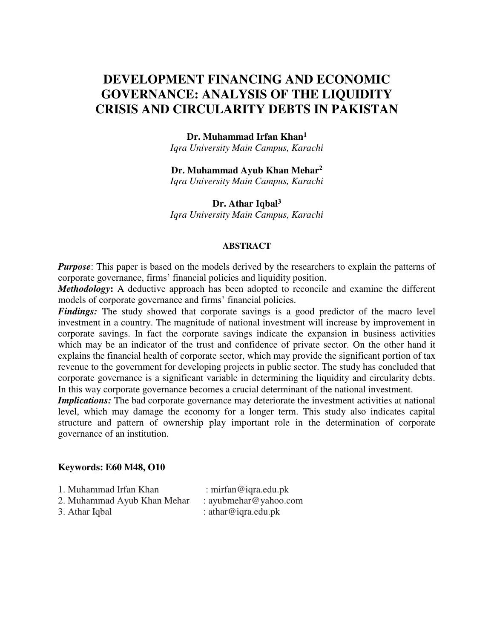## **DEVELOPMENT FINANCING AND ECONOMIC GOVERNANCE: ANALYSIS OF THE LIQUIDITY CRISIS AND CIRCULARITY DEBTS IN PAKISTAN**

#### **Dr. Muhammad Irfan Khan<sup>1</sup>**

*Iqra University Main Campus, Karachi* 

#### **Dr. Muhammad Ayub Khan Mehar<sup>2</sup>**

*Iqra University Main Campus, Karachi* 

#### **Dr. Athar Iqbal<sup>3</sup>**

*Iqra University Main Campus, Karachi* 

#### **ABSTRACT**

*Purpose*: This paper is based on the models derived by the researchers to explain the patterns of corporate governance, firms' financial policies and liquidity position.

*Methodology***:** A deductive approach has been adopted to reconcile and examine the different models of corporate governance and firms' financial policies.

*Findings:* The study showed that corporate savings is a good predictor of the macro level investment in a country. The magnitude of national investment will increase by improvement in corporate savings. In fact the corporate savings indicate the expansion in business activities which may be an indicator of the trust and confidence of private sector. On the other hand it explains the financial health of corporate sector, which may provide the significant portion of tax revenue to the government for developing projects in public sector. The study has concluded that corporate governance is a significant variable in determining the liquidity and circularity debts. In this way corporate governance becomes a crucial determinant of the national investment.

*Implications:* The bad corporate governance may deteriorate the investment activities at national level, which may damage the economy for a longer term. This study also indicates capital structure and pattern of ownership play important role in the determination of corporate governance of an institution.

#### **Keywords: E60 M48, O10**

| 1. Muhammad Irfan Khan      | : mirfan@iqra.edu.pk  |
|-----------------------------|-----------------------|
| 2. Muhammad Ayub Khan Mehar | : ayubmehar@yahoo.com |
| 3. Athar Iqbal              | : athar@iqra.edu.pk   |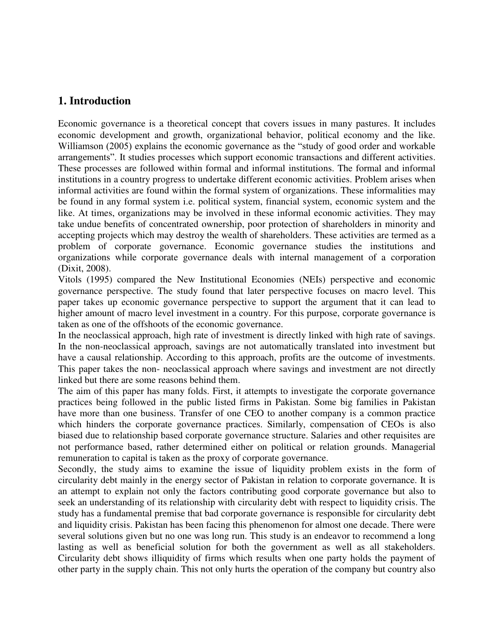## **1. Introduction**

Economic governance is a theoretical concept that covers issues in many pastures. It includes economic development and growth, organizational behavior, political economy and the like. Williamson (2005) explains the economic governance as the "study of good order and workable arrangements". It studies processes which support economic transactions and different activities. These processes are followed within formal and informal institutions. The formal and informal institutions in a country progress to undertake different economic activities. Problem arises when informal activities are found within the formal system of organizations. These informalities may be found in any formal system i.e. political system, financial system, economic system and the like. At times, organizations may be involved in these informal economic activities. They may take undue benefits of concentrated ownership, poor protection of shareholders in minority and accepting projects which may destroy the wealth of shareholders. These activities are termed as a problem of corporate governance. Economic governance studies the institutions and organizations while corporate governance deals with internal management of a corporation (Dixit, 2008).

Vitols (1995) compared the New Institutional Economies (NEIs) perspective and economic governance perspective. The study found that later perspective focuses on macro level. This paper takes up economic governance perspective to support the argument that it can lead to higher amount of macro level investment in a country. For this purpose, corporate governance is taken as one of the offshoots of the economic governance.

In the neoclassical approach, high rate of investment is directly linked with high rate of savings. In the non-neoclassical approach, savings are not automatically translated into investment but have a causal relationship. According to this approach, profits are the outcome of investments. This paper takes the non- neoclassical approach where savings and investment are not directly linked but there are some reasons behind them.

The aim of this paper has many folds. First, it attempts to investigate the corporate governance practices being followed in the public listed firms in Pakistan. Some big families in Pakistan have more than one business. Transfer of one CEO to another company is a common practice which hinders the corporate governance practices. Similarly, compensation of CEOs is also biased due to relationship based corporate governance structure. Salaries and other requisites are not performance based, rather determined either on political or relation grounds. Managerial remuneration to capital is taken as the proxy of corporate governance.

Secondly, the study aims to examine the issue of liquidity problem exists in the form of circularity debt mainly in the energy sector of Pakistan in relation to corporate governance. It is an attempt to explain not only the factors contributing good corporate governance but also to seek an understanding of its relationship with circularity debt with respect to liquidity crisis. The study has a fundamental premise that bad corporate governance is responsible for circularity debt and liquidity crisis. Pakistan has been facing this phenomenon for almost one decade. There were several solutions given but no one was long run. This study is an endeavor to recommend a long lasting as well as beneficial solution for both the government as well as all stakeholders. Circularity debt shows illiquidity of firms which results when one party holds the payment of other party in the supply chain. This not only hurts the operation of the company but country also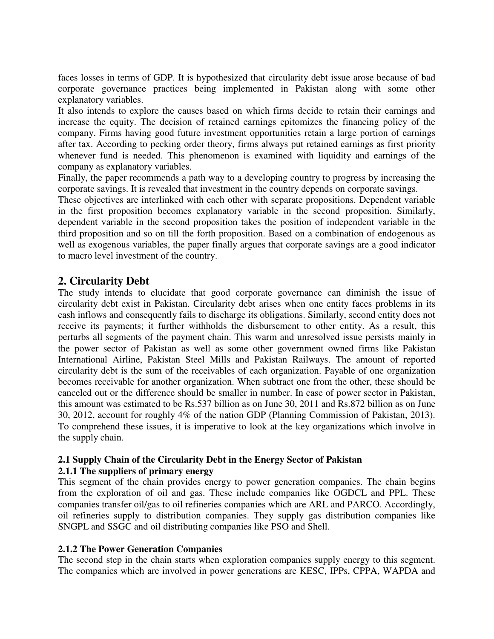faces losses in terms of GDP. It is hypothesized that circularity debt issue arose because of bad corporate governance practices being implemented in Pakistan along with some other explanatory variables.

It also intends to explore the causes based on which firms decide to retain their earnings and increase the equity. The decision of retained earnings epitomizes the financing policy of the company. Firms having good future investment opportunities retain a large portion of earnings after tax. According to pecking order theory, firms always put retained earnings as first priority whenever fund is needed. This phenomenon is examined with liquidity and earnings of the company as explanatory variables.

Finally, the paper recommends a path way to a developing country to progress by increasing the corporate savings. It is revealed that investment in the country depends on corporate savings.

These objectives are interlinked with each other with separate propositions. Dependent variable in the first proposition becomes explanatory variable in the second proposition. Similarly, dependent variable in the second proposition takes the position of independent variable in the third proposition and so on till the forth proposition. Based on a combination of endogenous as well as exogenous variables, the paper finally argues that corporate savings are a good indicator to macro level investment of the country.

## **2. Circularity Debt**

The study intends to elucidate that good corporate governance can diminish the issue of circularity debt exist in Pakistan. Circularity debt arises when one entity faces problems in its cash inflows and consequently fails to discharge its obligations. Similarly, second entity does not receive its payments; it further withholds the disbursement to other entity. As a result, this perturbs all segments of the payment chain. This warm and unresolved issue persists mainly in the power sector of Pakistan as well as some other government owned firms like Pakistan International Airline, Pakistan Steel Mills and Pakistan Railways. The amount of reported circularity debt is the sum of the receivables of each organization. Payable of one organization becomes receivable for another organization. When subtract one from the other, these should be canceled out or the difference should be smaller in number. In case of power sector in Pakistan, this amount was estimated to be Rs.537 billion as on June 30, 2011 and Rs.872 billion as on June 30, 2012, account for roughly 4% of the nation GDP (Planning Commission of Pakistan, 2013). To comprehend these issues, it is imperative to look at the key organizations which involve in the supply chain.

## **2.1 Supply Chain of the Circularity Debt in the Energy Sector of Pakistan**

## **2.1.1 The suppliers of primary energy**

This segment of the chain provides energy to power generation companies. The chain begins from the exploration of oil and gas. These include companies like OGDCL and PPL. These companies transfer oil/gas to oil refineries companies which are ARL and PARCO. Accordingly, oil refineries supply to distribution companies. They supply gas distribution companies like SNGPL and SSGC and oil distributing companies like PSO and Shell.

## **2.1.2 The Power Generation Companies**

The second step in the chain starts when exploration companies supply energy to this segment. The companies which are involved in power generations are KESC, IPPs, CPPA, WAPDA and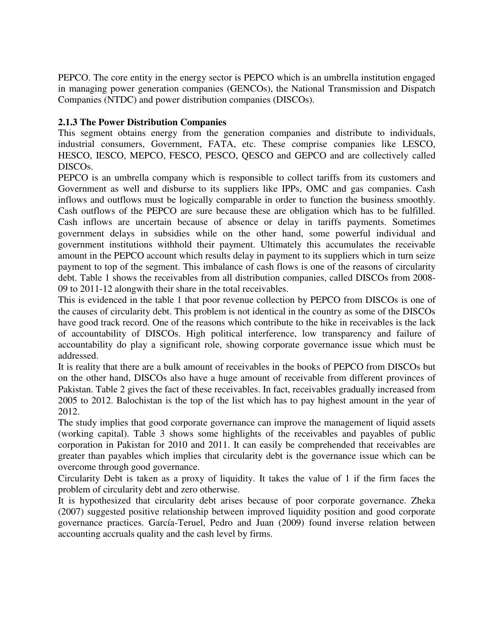PEPCO. The core entity in the energy sector is PEPCO which is an umbrella institution engaged in managing power generation companies (GENCOs), the National Transmission and Dispatch Companies (NTDC) and power distribution companies (DISCOs).

## **2.1.3 The Power Distribution Companies**

This segment obtains energy from the generation companies and distribute to individuals, industrial consumers, Government, FATA, etc. These comprise companies like LESCO, HESCO, IESCO, MEPCO, FESCO, PESCO, QESCO and GEPCO and are collectively called DISCOs.

PEPCO is an umbrella company which is responsible to collect tariffs from its customers and Government as well and disburse to its suppliers like IPPs, OMC and gas companies. Cash inflows and outflows must be logically comparable in order to function the business smoothly. Cash outflows of the PEPCO are sure because these are obligation which has to be fulfilled. Cash inflows are uncertain because of absence or delay in tariffs payments. Sometimes government delays in subsidies while on the other hand, some powerful individual and government institutions withhold their payment. Ultimately this accumulates the receivable amount in the PEPCO account which results delay in payment to its suppliers which in turn seize payment to top of the segment. This imbalance of cash flows is one of the reasons of circularity debt. Table 1 shows the receivables from all distribution companies, called DISCOs from 2008- 09 to 2011-12 alongwith their share in the total receivables.

This is evidenced in the table 1 that poor revenue collection by PEPCO from DISCOs is one of the causes of circularity debt. This problem is not identical in the country as some of the DISCOs have good track record. One of the reasons which contribute to the hike in receivables is the lack of accountability of DISCOs. High political interference, low transparency and failure of accountability do play a significant role, showing corporate governance issue which must be addressed.

It is reality that there are a bulk amount of receivables in the books of PEPCO from DISCOs but on the other hand, DISCOs also have a huge amount of receivable from different provinces of Pakistan. Table 2 gives the fact of these receivables. In fact, receivables gradually increased from 2005 to 2012. Balochistan is the top of the list which has to pay highest amount in the year of 2012.

The study implies that good corporate governance can improve the management of liquid assets (working capital). Table 3 shows some highlights of the receivables and payables of public corporation in Pakistan for 2010 and 2011. It can easily be comprehended that receivables are greater than payables which implies that circularity debt is the governance issue which can be overcome through good governance.

Circularity Debt is taken as a proxy of liquidity. It takes the value of 1 if the firm faces the problem of circularity debt and zero otherwise.

It is hypothesized that circularity debt arises because of poor corporate governance. Zheka (2007) suggested positive relationship between improved liquidity position and good corporate governance practices. García-Teruel, Pedro and Juan (2009) found inverse relation between accounting accruals quality and the cash level by firms.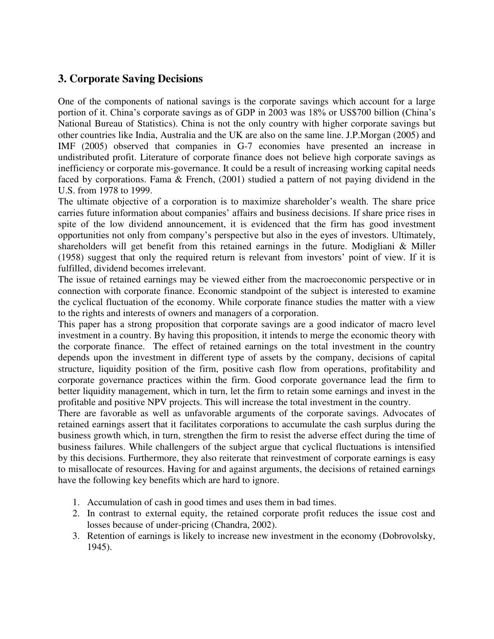## **3. Corporate Saving Decisions**

One of the components of national savings is the corporate savings which account for a large portion of it. China's corporate savings as of GDP in 2003 was 18% or US\$700 billion (China's National Bureau of Statistics). China is not the only country with higher corporate savings but other countries like India, Australia and the UK are also on the same line. J.P.Morgan (2005) and IMF (2005) observed that companies in G-7 economies have presented an increase in undistributed profit. Literature of corporate finance does not believe high corporate savings as inefficiency or corporate mis-governance. It could be a result of increasing working capital needs faced by corporations. Fama & French, (2001) studied a pattern of not paying dividend in the U.S. from 1978 to 1999.

The ultimate objective of a corporation is to maximize shareholder's wealth. The share price carries future information about companies' affairs and business decisions. If share price rises in spite of the low dividend announcement, it is evidenced that the firm has good investment opportunities not only from company's perspective but also in the eyes of investors. Ultimately, shareholders will get benefit from this retained earnings in the future. Modigliani & Miller (1958) suggest that only the required return is relevant from investors' point of view. If it is fulfilled, dividend becomes irrelevant.

The issue of retained earnings may be viewed either from the macroeconomic perspective or in connection with corporate finance. Economic standpoint of the subject is interested to examine the cyclical fluctuation of the economy. While corporate finance studies the matter with a view to the rights and interests of owners and managers of a corporation.

This paper has a strong proposition that corporate savings are a good indicator of macro level investment in a country. By having this proposition, it intends to merge the economic theory with the corporate finance. The effect of retained earnings on the total investment in the country depends upon the investment in different type of assets by the company, decisions of capital structure, liquidity position of the firm, positive cash flow from operations, profitability and corporate governance practices within the firm. Good corporate governance lead the firm to better liquidity management, which in turn, let the firm to retain some earnings and invest in the profitable and positive NPV projects. This will increase the total investment in the country.

There are favorable as well as unfavorable arguments of the corporate savings. Advocates of retained earnings assert that it facilitates corporations to accumulate the cash surplus during the business growth which, in turn, strengthen the firm to resist the adverse effect during the time of business failures. While challengers of the subject argue that cyclical fluctuations is intensified by this decisions. Furthermore, they also reiterate that reinvestment of corporate earnings is easy to misallocate of resources. Having for and against arguments, the decisions of retained earnings have the following key benefits which are hard to ignore.

- 1. Accumulation of cash in good times and uses them in bad times.
- 2. In contrast to external equity, the retained corporate profit reduces the issue cost and losses because of under-pricing (Chandra, 2002).
- 3. Retention of earnings is likely to increase new investment in the economy (Dobrovolsky, 1945).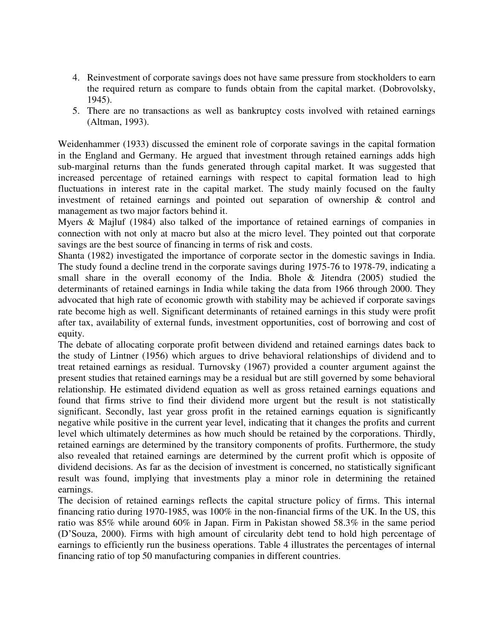- 4. Reinvestment of corporate savings does not have same pressure from stockholders to earn the required return as compare to funds obtain from the capital market. (Dobrovolsky, 1945).
- 5. There are no transactions as well as bankruptcy costs involved with retained earnings (Altman, 1993).

Weidenhammer (1933) discussed the eminent role of corporate savings in the capital formation in the England and Germany. He argued that investment through retained earnings adds high sub-marginal returns than the funds generated through capital market. It was suggested that increased percentage of retained earnings with respect to capital formation lead to high fluctuations in interest rate in the capital market. The study mainly focused on the faulty investment of retained earnings and pointed out separation of ownership & control and management as two major factors behind it.

Myers & Majluf (1984) also talked of the importance of retained earnings of companies in connection with not only at macro but also at the micro level. They pointed out that corporate savings are the best source of financing in terms of risk and costs.

Shanta (1982) investigated the importance of corporate sector in the domestic savings in India. The study found a decline trend in the corporate savings during 1975-76 to 1978-79, indicating a small share in the overall economy of the India. Bhole & Jitendra (2005) studied the determinants of retained earnings in India while taking the data from 1966 through 2000. They advocated that high rate of economic growth with stability may be achieved if corporate savings rate become high as well. Significant determinants of retained earnings in this study were profit after tax, availability of external funds, investment opportunities, cost of borrowing and cost of equity.

The debate of allocating corporate profit between dividend and retained earnings dates back to the study of Lintner (1956) which argues to drive behavioral relationships of dividend and to treat retained earnings as residual. Turnovsky (1967) provided a counter argument against the present studies that retained earnings may be a residual but are still governed by some behavioral relationship. He estimated dividend equation as well as gross retained earnings equations and found that firms strive to find their dividend more urgent but the result is not statistically significant. Secondly, last year gross profit in the retained earnings equation is significantly negative while positive in the current year level, indicating that it changes the profits and current level which ultimately determines as how much should be retained by the corporations. Thirdly, retained earnings are determined by the transitory components of profits. Furthermore, the study also revealed that retained earnings are determined by the current profit which is opposite of dividend decisions. As far as the decision of investment is concerned, no statistically significant result was found, implying that investments play a minor role in determining the retained earnings.

The decision of retained earnings reflects the capital structure policy of firms. This internal financing ratio during 1970-1985, was 100% in the non-financial firms of the UK. In the US, this ratio was 85% while around 60% in Japan. Firm in Pakistan showed 58.3% in the same period (D'Souza, 2000). Firms with high amount of circularity debt tend to hold high percentage of earnings to efficiently run the business operations. Table 4 illustrates the percentages of internal financing ratio of top 50 manufacturing companies in different countries.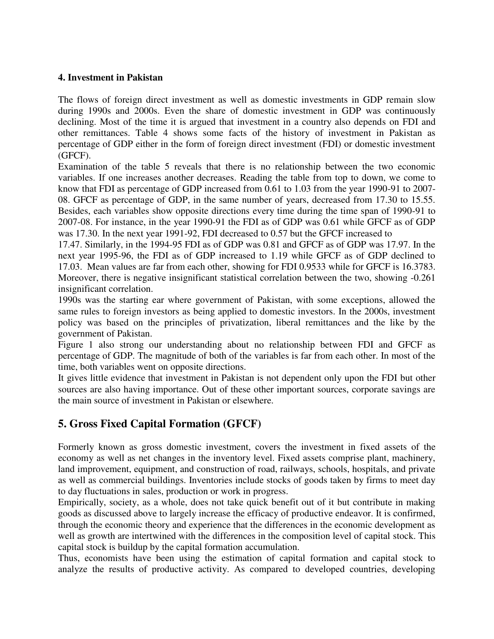#### **4. Investment in Pakistan**

The flows of foreign direct investment as well as domestic investments in GDP remain slow during 1990s and 2000s. Even the share of domestic investment in GDP was continuously declining. Most of the time it is argued that investment in a country also depends on FDI and other remittances. Table 4 shows some facts of the history of investment in Pakistan as percentage of GDP either in the form of foreign direct investment (FDI) or domestic investment (GFCF).

Examination of the table 5 reveals that there is no relationship between the two economic variables. If one increases another decreases. Reading the table from top to down, we come to know that FDI as percentage of GDP increased from 0.61 to 1.03 from the year 1990-91 to 2007- 08. GFCF as percentage of GDP, in the same number of years, decreased from 17.30 to 15.55. Besides, each variables show opposite directions every time during the time span of 1990-91 to 2007-08. For instance, in the year 1990-91 the FDI as of GDP was 0.61 while GFCF as of GDP was 17.30. In the next year 1991-92, FDI decreased to 0.57 but the GFCF increased to

17.47. Similarly, in the 1994-95 FDI as of GDP was 0.81 and GFCF as of GDP was 17.97. In the next year 1995-96, the FDI as of GDP increased to 1.19 while GFCF as of GDP declined to 17.03. Mean values are far from each other, showing for FDI 0.9533 while for GFCF is 16.3783. Moreover, there is negative insignificant statistical correlation between the two, showing -0.261 insignificant correlation.

1990s was the starting ear where government of Pakistan, with some exceptions, allowed the same rules to foreign investors as being applied to domestic investors. In the 2000s, investment policy was based on the principles of privatization, liberal remittances and the like by the government of Pakistan.

Figure 1 also strong our understanding about no relationship between FDI and GFCF as percentage of GDP. The magnitude of both of the variables is far from each other. In most of the time, both variables went on opposite directions.

It gives little evidence that investment in Pakistan is not dependent only upon the FDI but other sources are also having importance. Out of these other important sources, corporate savings are the main source of investment in Pakistan or elsewhere.

## **5. Gross Fixed Capital Formation (GFCF)**

Formerly known as gross domestic investment, covers the investment in fixed assets of the economy as well as net changes in the inventory level. Fixed assets comprise plant, machinery, land improvement, equipment, and construction of road, railways, schools, hospitals, and private as well as commercial buildings. Inventories include stocks of goods taken by firms to meet day to day fluctuations in sales, production or work in progress.

Empirically, society, as a whole, does not take quick benefit out of it but contribute in making goods as discussed above to largely increase the efficacy of productive endeavor. It is confirmed, through the economic theory and experience that the differences in the economic development as well as growth are intertwined with the differences in the composition level of capital stock. This capital stock is buildup by the capital formation accumulation.

Thus, economists have been using the estimation of capital formation and capital stock to analyze the results of productive activity. As compared to developed countries, developing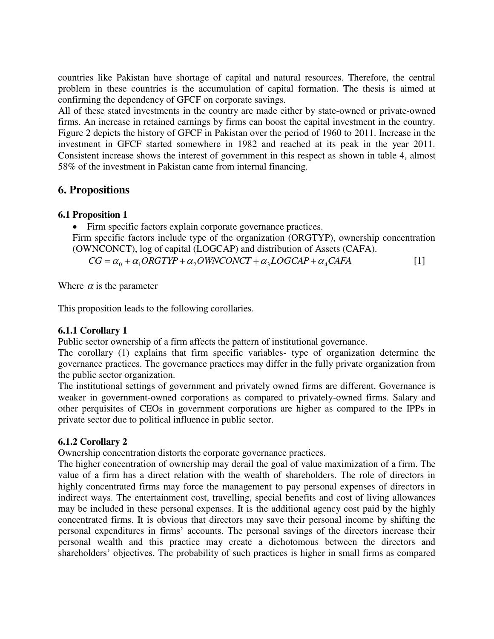countries like Pakistan have shortage of capital and natural resources. Therefore, the central problem in these countries is the accumulation of capital formation. The thesis is aimed at confirming the dependency of GFCF on corporate savings.

All of these stated investments in the country are made either by state-owned or private-owned firms. An increase in retained earnings by firms can boost the capital investment in the country. Figure 2 depicts the history of GFCF in Pakistan over the period of 1960 to 2011. Increase in the investment in GFCF started somewhere in 1982 and reached at its peak in the year 2011. Consistent increase shows the interest of government in this respect as shown in table 4, almost 58% of the investment in Pakistan came from internal financing.

## **6. Propositions**

#### **6.1 Proposition 1**

• Firm specific factors explain corporate governance practices.

Firm specific factors include type of the organization (ORGTYP), ownership concentration (OWNCONCT), log of capital (LOGCAP) and distribution of Assets (CAFA).

 $CG = \alpha_0 + \alpha_1 ORGTYP + \alpha_2 OWNCONCT + \alpha_3 LOGCAP + \alpha_4 CAR$  [1]

Where  $\alpha$  is the parameter

This proposition leads to the following corollaries.

## **6.1.1 Corollary 1**

Public sector ownership of a firm affects the pattern of institutional governance.

The corollary (1) explains that firm specific variables- type of organization determine the governance practices. The governance practices may differ in the fully private organization from the public sector organization.

The institutional settings of government and privately owned firms are different. Governance is weaker in government-owned corporations as compared to privately-owned firms. Salary and other perquisites of CEOs in government corporations are higher as compared to the IPPs in private sector due to political influence in public sector.

## **6.1.2 Corollary 2**

Ownership concentration distorts the corporate governance practices.

The higher concentration of ownership may derail the goal of value maximization of a firm. The value of a firm has a direct relation with the wealth of shareholders. The role of directors in highly concentrated firms may force the management to pay personal expenses of directors in indirect ways. The entertainment cost, travelling, special benefits and cost of living allowances may be included in these personal expenses. It is the additional agency cost paid by the highly concentrated firms. It is obvious that directors may save their personal income by shifting the personal expenditures in firms' accounts. The personal savings of the directors increase their personal wealth and this practice may create a dichotomous between the directors and shareholders' objectives. The probability of such practices is higher in small firms as compared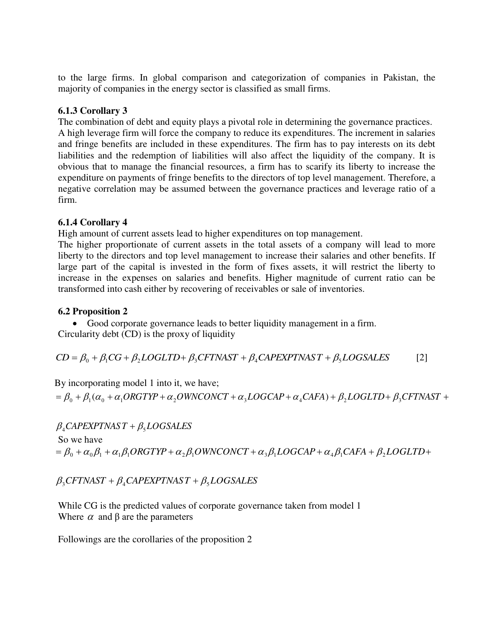to the large firms. In global comparison and categorization of companies in Pakistan, the majority of companies in the energy sector is classified as small firms.

## **6.1.3 Corollary 3**

The combination of debt and equity plays a pivotal role in determining the governance practices. A high leverage firm will force the company to reduce its expenditures. The increment in salaries and fringe benefits are included in these expenditures. The firm has to pay interests on its debt liabilities and the redemption of liabilities will also affect the liquidity of the company. It is obvious that to manage the financial resources, a firm has to scarify its liberty to increase the expenditure on payments of fringe benefits to the directors of top level management. Therefore, a negative correlation may be assumed between the governance practices and leverage ratio of a firm.

## **6.1.4 Corollary 4**

High amount of current assets lead to higher expenditures on top management.

The higher proportionate of current assets in the total assets of a company will lead to more liberty to the directors and top level management to increase their salaries and other benefits. If large part of the capital is invested in the form of fixes assets, it will restrict the liberty to increase in the expenses on salaries and benefits. Higher magnitude of current ratio can be transformed into cash either by recovering of receivables or sale of inventories.

## **6.2 Proposition 2**

 Good corporate governance leads to better liquidity management in a firm. Circularity debt (CD) is the proxy of liquidity

 $CD = \beta_0 + \beta_1 CG + \beta_2 LOGLTD + \beta_3CFTNAST + \beta_4 CAPEXPTNAST + \beta_5 LOGSALES$  [2]

By incorporating model 1 into it, we have;

```
\beta_0 + \beta_1(\alpha_0 + \alpha_1 \text{ORG} \text{TYP} + \alpha_2 \text{OWNCONCT} + \alpha_3 \text{LOGCAP} + \alpha_4 \text{CARA}) + \beta_2 \text{LOGLTD} + \beta_3 \text{CFTNAST} + \beta_4 \text{CFTNAST}
```
 $\beta_4$ *CAPEXPTNAS*  $T + \beta_5 LOGSALES$  So we have  $\mathcal{O} = \beta_0 + \alpha_0 \beta_1 + \alpha_1 \beta_1 ORGTYP + \alpha_2 \beta_1 OWNCONCT + \alpha_3 \beta_1 LOGCAP + \alpha_4 \beta_1 CAR + \beta_2 LOGLTD +$ 

## $\beta_{3}$ CFTNAST +  $\beta_{4}$ CAPEXPTNAST +  $\beta_{5}$ LOGSALES

While CG is the predicted values of corporate governance taken from model 1 Where  $\alpha$  and  $\beta$  are the parameters

Followings are the corollaries of the proposition 2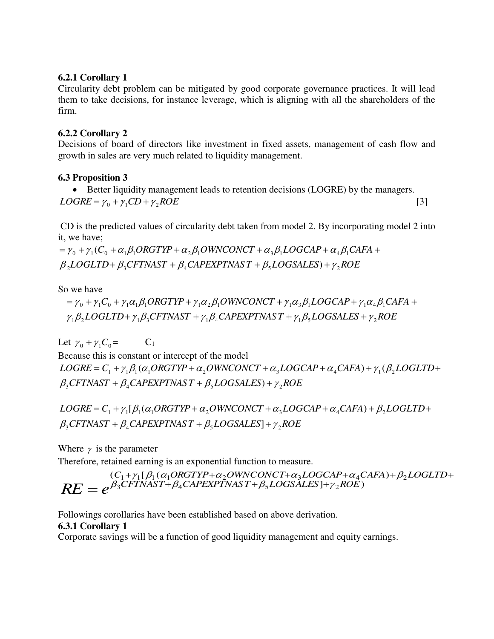## **6.2.1 Corollary 1**

Circularity debt problem can be mitigated by good corporate governance practices. It will lead them to take decisions, for instance leverage, which is aligning with all the shareholders of the firm.

## **6.2.2 Corollary 2**

Decisions of board of directors like investment in fixed assets, management of cash flow and growth in sales are very much related to liquidity management.

#### **6.3 Proposition 3**

 Better liquidity management leads to retention decisions (LOGRE) by the managers.  $LOGRE = \gamma_0 + \gamma_1 CD + \gamma_2 ROE$  [3]

 CD is the predicted values of circularity debt taken from model 2. By incorporating model 2 into it, we have;

 $\beta_{2} LOGLTD+\beta_{3}CFTNAST+\beta_{4}CAPEXPTNAST+\beta_{5}LOGSALES)+\gamma_{2}ROE$  $=\gamma_0 + \gamma_1 (C_0 + \alpha_1 \beta_1 ORGTYP + \alpha_2 \beta_1 OWNCONCT + \alpha_3 \beta_1 LOGCAP + \alpha_4 \beta_1 CAR +$ 

So we have

$$
= \gamma_0 + \gamma_1 C_0 + \gamma_1 \alpha_1 \beta_1 ORGTYP + \gamma_1 \alpha_2 \beta_1 OWNCONCT + \gamma_1 \alpha_3 \beta_1 LOGCAP + \gamma_1 \alpha_4 \beta_1 CARA +
$$
  

$$
\gamma_1 \beta_2 LOGLTD + \gamma_1 \beta_3 CFTNAST + \gamma_1 \beta_4 CAPEXPTNAST + \gamma_1 \beta_5 LOGSALES + \gamma_2 ROE
$$

Let  $\gamma_0 + \gamma_1 C_0 = C_1$ Because this is constant or intercept of the model  $\beta_3$ CFTNAST +  $\beta_4$ CAPEXPTNAS T +  $\beta_5$ LOGSALES) +  $\gamma_2$ ROE  $LOGRE = C_1 + \gamma_1 \beta_1 (\alpha_1 ORGTYP + \alpha_2 OWNCONCT + \alpha_3 LOGCAP + \alpha_4 CAR) + \gamma_1 (\beta_2 LOGLTD +$ 

 $\beta_3$ CFTNAST +  $\beta_4$ CAPEXPTNAST +  $\beta_5$ LOGSALES] +  $\gamma_2$ ROE  $LOGRE = C_1 + \gamma_1[\beta_1(\alpha_1ORGTYP + \alpha_2OWNCONCT + \alpha_3LOGCAP + \alpha_4CAR) + \beta_2LOGLTD +$ 

Where  $\gamma$  is the parameter

Therefore, retained earning is an exponential function to measure.

$$
RE = e^{\beta_3CFTNAST + \beta_4CAPEXPTNAST + \beta_5LOGSALES] + \gamma_2ROE}
$$

Followings corollaries have been established based on above derivation. **6.3.1 Corollary 1** 

Corporate savings will be a function of good liquidity management and equity earnings.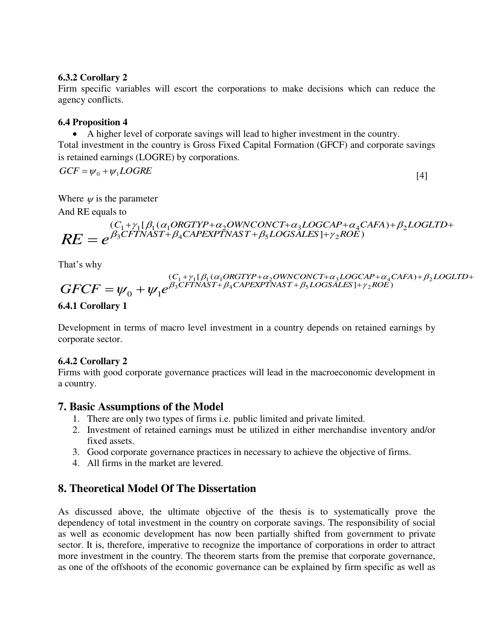#### **6.3.2 Corollary 2**

Firm specific variables will escort the corporations to make decisions which can reduce the agency conflicts.

## **6.4 Proposition 4**

A higher level of corporate savings will lead to higher investment in the country.

Total investment in the country is Gross Fixed Capital Formation (GFCF) and corporate savings is retained earnings (LOGRE) by corporations.

$$
GCF = \psi_0 + \psi_1 LOGRE \tag{4}
$$

Where  $\psi$  is the parameter And RE equals to

$$
RE = e^{\beta_3CFTNAST + \beta_4CAPEXPTNAST + \beta_5LOGSALES + \gamma_2ROE)} \nRE = e^{\beta_3CFTNAST + \beta_4CAPEXPTNAST + \beta_5LOGSALES + \gamma_2ROE)}
$$

That's why

$$
GFCF = \psi_0 + \psi_1 e^{\beta_3 CFTNAST + \beta_4 CAPEXTNAST + \beta_5 LOGSALES] + \gamma_2 ROE}
$$

## **6.4.1 Corollary 1**

Development in terms of macro level investment in a country depends on retained earnings by corporate sector.

## **6.4.2 Corollary 2**

Firms with good corporate governance practices will lead in the macroeconomic development in a country.

## **7. Basic Assumptions of the Model**

- 1. There are only two types of firms i.e. public limited and private limited.
- 2. Investment of retained earnings must be utilized in either merchandise inventory and/or fixed assets.
- 3. Good corporate governance practices in necessary to achieve the objective of firms.
- 4. All firms in the market are levered.

## **8. Theoretical Model Of The Dissertation**

As discussed above, the ultimate objective of the thesis is to systematically prove the dependency of total investment in the country on corporate savings. The responsibility of social as well as economic development has now been partially shifted from government to private sector. It is, therefore, imperative to recognize the importance of corporations in order to attract more investment in the country. The theorem starts from the premise that corporate governance, as one of the offshoots of the economic governance can be explained by firm specific as well as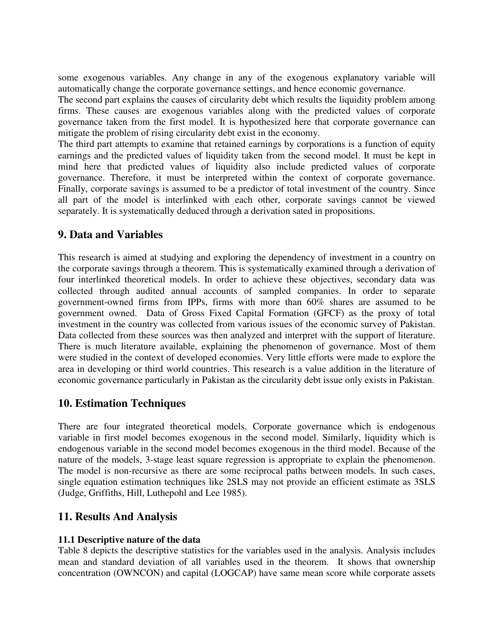some exogenous variables. Any change in any of the exogenous explanatory variable will automatically change the corporate governance settings, and hence economic governance.

The second part explains the causes of circularity debt which results the liquidity problem among firms. These causes are exogenous variables along with the predicted values of corporate governance taken from the first model. It is hypothesized here that corporate governance can mitigate the problem of rising circularity debt exist in the economy.

The third part attempts to examine that retained earnings by corporations is a function of equity earnings and the predicted values of liquidity taken from the second model. It must be kept in mind here that predicted values of liquidity also include predicted values of corporate governance. Therefore, it must be interpreted within the context of corporate governance. Finally, corporate savings is assumed to be a predictor of total investment of the country. Since all part of the model is interlinked with each other, corporate savings cannot be viewed separately. It is systematically deduced through a derivation sated in propositions.

## **9. Data and Variables**

This research is aimed at studying and exploring the dependency of investment in a country on the corporate savings through a theorem. This is systematically examined through a derivation of four interlinked theoretical models. In order to achieve these objectives, secondary data was collected through audited annual accounts of sampled companies. In order to separate government-owned firms from IPPs, firms with more than 60% shares are assumed to be government owned. Data of Gross Fixed Capital Formation (GFCF) as the proxy of total investment in the country was collected from various issues of the economic survey of Pakistan. Data collected from these sources was then analyzed and interpret with the support of literature. There is much literature available, explaining the phenomenon of governance. Most of them were studied in the context of developed economies. Very little efforts were made to explore the area in developing or third world countries. This research is a value addition in the literature of economic governance particularly in Pakistan as the circularity debt issue only exists in Pakistan.

## **10. Estimation Techniques**

There are four integrated theoretical models. Corporate governance which is endogenous variable in first model becomes exogenous in the second model. Similarly, liquidity which is endogenous variable in the second model becomes exogenous in the third model. Because of the nature of the models, 3-stage least square regression is appropriate to explain the phenomenon. The model is non-recursive as there are some reciprocal paths between models. In such cases, single equation estimation techniques like 2SLS may not provide an efficient estimate as 3SLS (Judge, Griffiths, Hill, Luthepohl and Lee 1985).

## **11. Results And Analysis**

## **11.1 Descriptive nature of the data**

Table 8 depicts the descriptive statistics for the variables used in the analysis. Analysis includes mean and standard deviation of all variables used in the theorem. It shows that ownership concentration (OWNCON) and capital (LOGCAP) have same mean score while corporate assets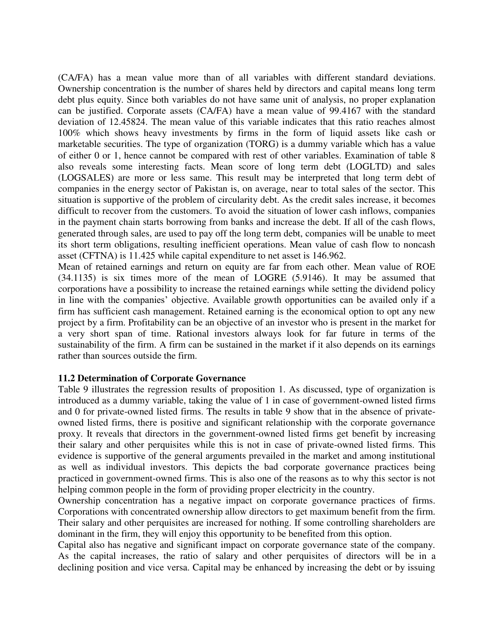(CA/FA) has a mean value more than of all variables with different standard deviations. Ownership concentration is the number of shares held by directors and capital means long term debt plus equity. Since both variables do not have same unit of analysis, no proper explanation can be justified. Corporate assets (CA/FA) have a mean value of 99.4167 with the standard deviation of 12.45824. The mean value of this variable indicates that this ratio reaches almost 100% which shows heavy investments by firms in the form of liquid assets like cash or marketable securities. The type of organization (TORG) is a dummy variable which has a value of either 0 or 1, hence cannot be compared with rest of other variables. Examination of table 8 also reveals some interesting facts. Mean score of long term debt (LOGLTD) and sales (LOGSALES) are more or less same. This result may be interpreted that long term debt of companies in the energy sector of Pakistan is, on average, near to total sales of the sector. This situation is supportive of the problem of circularity debt. As the credit sales increase, it becomes difficult to recover from the customers. To avoid the situation of lower cash inflows, companies in the payment chain starts borrowing from banks and increase the debt. If all of the cash flows, generated through sales, are used to pay off the long term debt, companies will be unable to meet its short term obligations, resulting inefficient operations. Mean value of cash flow to noncash asset (CFTNA) is 11.425 while capital expenditure to net asset is 146.962.

Mean of retained earnings and return on equity are far from each other. Mean value of ROE (34.1135) is six times more of the mean of LOGRE (5.9146). It may be assumed that corporations have a possibility to increase the retained earnings while setting the dividend policy in line with the companies' objective. Available growth opportunities can be availed only if a firm has sufficient cash management. Retained earning is the economical option to opt any new project by a firm. Profitability can be an objective of an investor who is present in the market for a very short span of time. Rational investors always look for far future in terms of the sustainability of the firm. A firm can be sustained in the market if it also depends on its earnings rather than sources outside the firm.

#### **11.2 Determination of Corporate Governance**

Table 9 illustrates the regression results of proposition 1. As discussed, type of organization is introduced as a dummy variable, taking the value of 1 in case of government-owned listed firms and 0 for private-owned listed firms. The results in table 9 show that in the absence of privateowned listed firms, there is positive and significant relationship with the corporate governance proxy. It reveals that directors in the government-owned listed firms get benefit by increasing their salary and other perquisites while this is not in case of private-owned listed firms. This evidence is supportive of the general arguments prevailed in the market and among institutional as well as individual investors. This depicts the bad corporate governance practices being practiced in government-owned firms. This is also one of the reasons as to why this sector is not helping common people in the form of providing proper electricity in the country.

Ownership concentration has a negative impact on corporate governance practices of firms. Corporations with concentrated ownership allow directors to get maximum benefit from the firm. Their salary and other perquisites are increased for nothing. If some controlling shareholders are dominant in the firm, they will enjoy this opportunity to be benefited from this option.

Capital also has negative and significant impact on corporate governance state of the company. As the capital increases, the ratio of salary and other perquisites of directors will be in a declining position and vice versa. Capital may be enhanced by increasing the debt or by issuing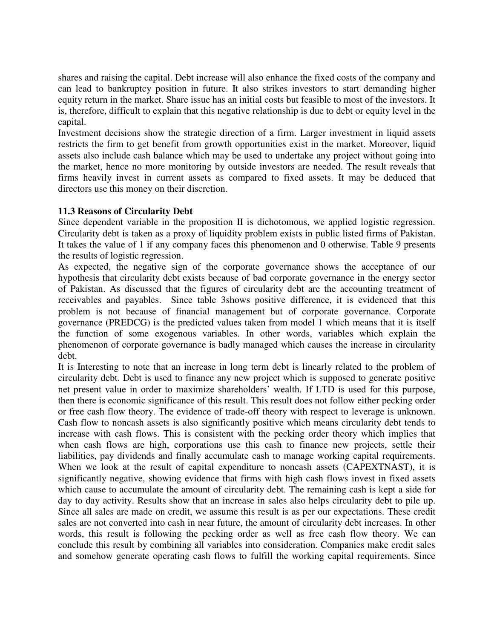shares and raising the capital. Debt increase will also enhance the fixed costs of the company and can lead to bankruptcy position in future. It also strikes investors to start demanding higher equity return in the market. Share issue has an initial costs but feasible to most of the investors. It is, therefore, difficult to explain that this negative relationship is due to debt or equity level in the capital.

Investment decisions show the strategic direction of a firm. Larger investment in liquid assets restricts the firm to get benefit from growth opportunities exist in the market. Moreover, liquid assets also include cash balance which may be used to undertake any project without going into the market, hence no more monitoring by outside investors are needed. The result reveals that firms heavily invest in current assets as compared to fixed assets. It may be deduced that directors use this money on their discretion.

#### **11.3 Reasons of Circularity Debt**

Since dependent variable in the proposition II is dichotomous, we applied logistic regression. Circularity debt is taken as a proxy of liquidity problem exists in public listed firms of Pakistan. It takes the value of 1 if any company faces this phenomenon and 0 otherwise. Table 9 presents the results of logistic regression.

As expected, the negative sign of the corporate governance shows the acceptance of our hypothesis that circularity debt exists because of bad corporate governance in the energy sector of Pakistan. As discussed that the figures of circularity debt are the accounting treatment of receivables and payables. Since table 3shows positive difference, it is evidenced that this problem is not because of financial management but of corporate governance. Corporate governance (PREDCG) is the predicted values taken from model 1 which means that it is itself the function of some exogenous variables. In other words, variables which explain the phenomenon of corporate governance is badly managed which causes the increase in circularity debt.

It is Interesting to note that an increase in long term debt is linearly related to the problem of circularity debt. Debt is used to finance any new project which is supposed to generate positive net present value in order to maximize shareholders' wealth. If LTD is used for this purpose, then there is economic significance of this result. This result does not follow either pecking order or free cash flow theory. The evidence of trade-off theory with respect to leverage is unknown. Cash flow to noncash assets is also significantly positive which means circularity debt tends to increase with cash flows. This is consistent with the pecking order theory which implies that when cash flows are high, corporations use this cash to finance new projects, settle their liabilities, pay dividends and finally accumulate cash to manage working capital requirements. When we look at the result of capital expenditure to noncash assets (CAPEXTNAST), it is significantly negative, showing evidence that firms with high cash flows invest in fixed assets which cause to accumulate the amount of circularity debt. The remaining cash is kept a side for day to day activity. Results show that an increase in sales also helps circularity debt to pile up. Since all sales are made on credit, we assume this result is as per our expectations. These credit sales are not converted into cash in near future, the amount of circularity debt increases. In other words, this result is following the pecking order as well as free cash flow theory. We can conclude this result by combining all variables into consideration. Companies make credit sales and somehow generate operating cash flows to fulfill the working capital requirements. Since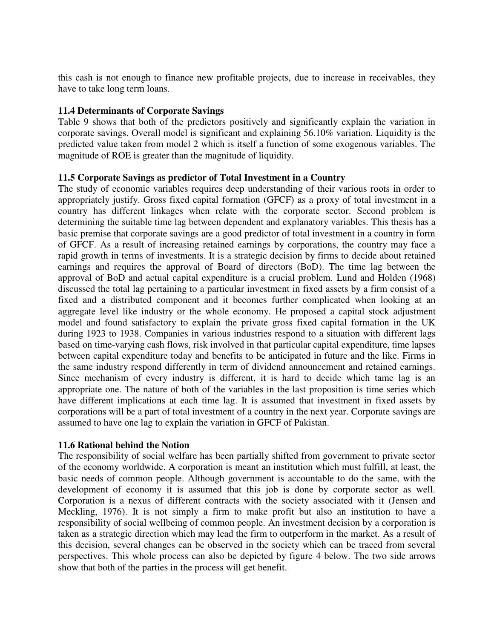this cash is not enough to finance new profitable projects, due to increase in receivables, they have to take long term loans.

#### **11.4 Determinants of Corporate Savings**

Table 9 shows that both of the predictors positively and significantly explain the variation in corporate savings. Overall model is significant and explaining 56.10% variation. Liquidity is the predicted value taken from model 2 which is itself a function of some exogenous variables. The magnitude of ROE is greater than the magnitude of liquidity.

#### **11.5 Corporate Savings as predictor of Total Investment in a Country**

The study of economic variables requires deep understanding of their various roots in order to appropriately justify. Gross fixed capital formation (GFCF) as a proxy of total investment in a country has different linkages when relate with the corporate sector. Second problem is determining the suitable time lag between dependent and explanatory variables. This thesis has a basic premise that corporate savings are a good predictor of total investment in a country in form of GFCF. As a result of increasing retained earnings by corporations, the country may face a rapid growth in terms of investments. It is a strategic decision by firms to decide about retained earnings and requires the approval of Board of directors (BoD). The time lag between the approval of BoD and actual capital expenditure is a crucial problem. Lund and Holden (1968) discussed the total lag pertaining to a particular investment in fixed assets by a firm consist of a fixed and a distributed component and it becomes further complicated when looking at an aggregate level like industry or the whole economy. He proposed a capital stock adjustment model and found satisfactory to explain the private gross fixed capital formation in the UK during 1923 to 1938. Companies in various industries respond to a situation with different lags based on time-varying cash flows, risk involved in that particular capital expenditure, time lapses between capital expenditure today and benefits to be anticipated in future and the like. Firms in the same industry respond differently in term of dividend announcement and retained earnings. Since mechanism of every industry is different, it is hard to decide which tame lag is an appropriate one. The nature of both of the variables in the last proposition is time series which have different implications at each time lag. It is assumed that investment in fixed assets by corporations will be a part of total investment of a country in the next year. Corporate savings are assumed to have one lag to explain the variation in GFCF of Pakistan.

#### **11.6 Rational behind the Notion**

The responsibility of social welfare has been partially shifted from government to private sector of the economy worldwide. A corporation is meant an institution which must fulfill, at least, the basic needs of common people. Although government is accountable to do the same, with the development of economy it is assumed that this job is done by corporate sector as well. Corporation is a nexus of different contracts with the society associated with it (Jensen and Meckling, 1976). It is not simply a firm to make profit but also an institution to have a responsibility of social wellbeing of common people. An investment decision by a corporation is taken as a strategic direction which may lead the firm to outperform in the market. As a result of this decision, several changes can be observed in the society which can be traced from several perspectives. This whole process can also be depicted by figure 4 below. The two side arrows show that both of the parties in the process will get benefit.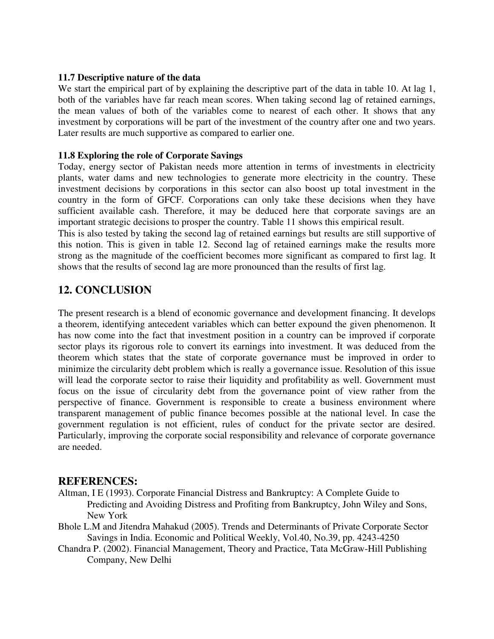#### **11.7 Descriptive nature of the data**

We start the empirical part of by explaining the descriptive part of the data in table 10. At lag 1, both of the variables have far reach mean scores. When taking second lag of retained earnings, the mean values of both of the variables come to nearest of each other. It shows that any investment by corporations will be part of the investment of the country after one and two years. Later results are much supportive as compared to earlier one.

#### **11.8 Exploring the role of Corporate Savings**

Today, energy sector of Pakistan needs more attention in terms of investments in electricity plants, water dams and new technologies to generate more electricity in the country. These investment decisions by corporations in this sector can also boost up total investment in the country in the form of GFCF. Corporations can only take these decisions when they have sufficient available cash. Therefore, it may be deduced here that corporate savings are an important strategic decisions to prosper the country. Table 11 shows this empirical result.

This is also tested by taking the second lag of retained earnings but results are still supportive of this notion. This is given in table 12. Second lag of retained earnings make the results more strong as the magnitude of the coefficient becomes more significant as compared to first lag. It shows that the results of second lag are more pronounced than the results of first lag.

## **12. CONCLUSION**

The present research is a blend of economic governance and development financing. It develops a theorem, identifying antecedent variables which can better expound the given phenomenon. It has now come into the fact that investment position in a country can be improved if corporate sector plays its rigorous role to convert its earnings into investment. It was deduced from the theorem which states that the state of corporate governance must be improved in order to minimize the circularity debt problem which is really a governance issue. Resolution of this issue will lead the corporate sector to raise their liquidity and profitability as well. Government must focus on the issue of circularity debt from the governance point of view rather from the perspective of finance. Government is responsible to create a business environment where transparent management of public finance becomes possible at the national level. In case the government regulation is not efficient, rules of conduct for the private sector are desired. Particularly, improving the corporate social responsibility and relevance of corporate governance are needed.

## **REFERENCES:**

- Altman, I E (1993). Corporate Financial Distress and Bankruptcy: A Complete Guide to Predicting and Avoiding Distress and Profiting from Bankruptcy, John Wiley and Sons, New York
- Bhole L.M and Jitendra Mahakud (2005). Trends and Determinants of Private Corporate Sector Savings in India. Economic and Political Weekly, Vol.40, No.39, pp. 4243-4250
- Chandra P. (2002). Financial Management, Theory and Practice, Tata McGraw-Hill Publishing Company, New Delhi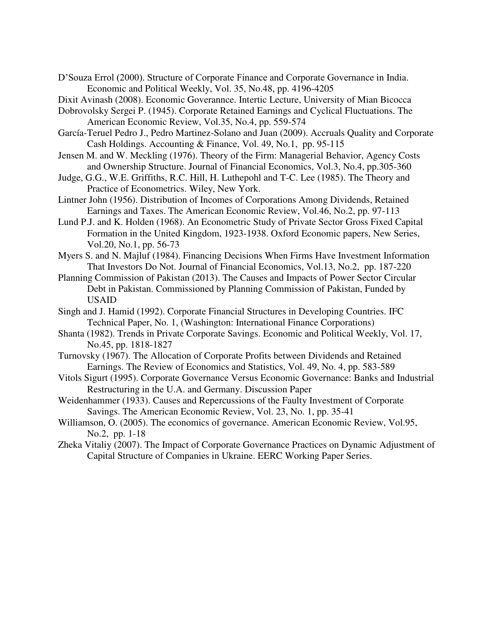D'Souza Errol (2000). Structure of Corporate Finance and Corporate Governance in India. Economic and Political Weekly, Vol. 35, No.48, pp. 4196-4205

Dixit Avinash (2008). Economic Goverannce. Intertic Lecture, University of Mian Bicocca

- Dobrovolsky Sergei P. (1945). Corporate Retained Earnings and Cyclical Fluctuations. The American Economic Review, Vol.35, No.4, pp. 559-574
- García-Teruel Pedro J., Pedro Martinez-Solano and Juan (2009). Accruals Quality and Corporate Cash Holdings. Accounting & Finance, Vol. 49, No.1, pp. 95-115
- Jensen M. and W. Meckling (1976). Theory of the Firm: Managerial Behavior, Agency Costs and Ownership Structure. Journal of Financial Economics, Vol.3, No.4, pp.305-360
- Judge, G.G., W.E. Griffiths, R.C. Hill, H. Luthepohl and T-C. Lee (1985). The Theory and Practice of Econometrics. Wiley, New York.
- Lintner John (1956). Distribution of Incomes of Corporations Among Dividends, Retained Earnings and Taxes. The American Economic Review, Vol.46, No.2, pp. 97-113
- Lund P.J. and K. Holden (1968). An Econometric Study of Private Sector Gross Fixed Capital Formation in the United Kingdom, 1923-1938. Oxford Economic papers, New Series, Vol.20, No.1, pp. 56-73
- Myers S. and N. Majluf (1984). Financing Decisions When Firms Have Investment Information That Investors Do Not. Journal of Financial Economics, Vol.13, No.2, pp. 187-220
- Planning Commission of Pakistan (2013). The Causes and Impacts of Power Sector Circular Debt in Pakistan. Commissioned by Planning Commission of Pakistan, Funded by USAID
- Singh and J. Hamid (1992). Corporate Financial Structures in Developing Countries. IFC Technical Paper, No. 1, (Washington: International Finance Corporations)
- Shanta (1982). Trends in Private Corporate Savings. Economic and Political Weekly, Vol. 17, No.45, pp. 1818-1827
- Turnovsky (1967). The Allocation of Corporate Profits between Dividends and Retained Earnings. The Review of Economics and Statistics, Vol. 49, No. 4, pp. 583-589
- Vitols Sigurt (1995). Corporate Governance Versus Economic Governance: Banks and Industrial Restructuring in the U.A. and Germany. Discussion Paper
- Weidenhammer (1933). Causes and Repercussions of the Faulty Investment of Corporate Savings. The American Economic Review, Vol. 23, No. 1, pp. 35-41
- Williamson, O. (2005). The economics of governance. American Economic Review, Vol.95, No.2, pp. 1-18
- Zheka Vitaliy (2007). The Impact of Corporate Governance Practices on Dynamic Adjustment of Capital Structure of Companies in Ukraine. EERC Working Paper Series.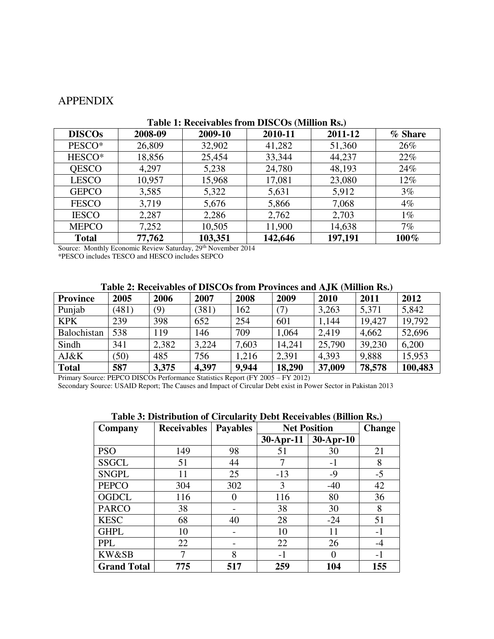## APPENDIX

| Tuble 1: Hecch (upled 11 out D10 COD (Trillion Ro) |         |         |         |         |         |  |
|----------------------------------------------------|---------|---------|---------|---------|---------|--|
| <b>DISCOs</b>                                      | 2008-09 | 2009-10 | 2010-11 | 2011-12 | % Share |  |
| PESCO*                                             | 26,809  | 32,902  | 41,282  | 51,360  | 26%     |  |
| HESCO*                                             | 18,856  | 25,454  | 33,344  | 44,237  | 22%     |  |
| QESCO                                              | 4,297   | 5,238   | 24,780  | 48,193  | 24%     |  |
| <b>LESCO</b>                                       | 10,957  | 15,968  | 17,081  | 23,080  | $12\%$  |  |
| <b>GEPCO</b>                                       | 3,585   | 5,322   | 5,631   | 5,912   | $3\%$   |  |
| <b>FESCO</b>                                       | 3,719   | 5,676   | 5,866   | 7,068   | $4\%$   |  |
| <b>IESCO</b>                                       | 2,287   | 2,286   | 2,762   | 2,703   | $1\%$   |  |
| <b>MEPCO</b>                                       | 7,252   | 10,505  | 11,900  | 14,638  | 7%      |  |
| <b>Total</b>                                       | 77,762  | 103,351 | 142,646 | 197,191 | $100\%$ |  |

#### **Table 1: Receivables from DISCOs (Million Rs.)**

Source: Monthly Economic Review Saturday, 29<sup>th</sup> November 2014

\*PESCO includes TESCO and HESCO includes SEPCO

#### **Table 2: Receivables of DISCOs from Provinces and AJK (Million Rs.)**

| <b>Province</b> | 2005  | 2006  | 2007  | 2008  | 2009              | 2010   | 2011   | 2012    |
|-----------------|-------|-------|-------|-------|-------------------|--------|--------|---------|
| Punjab          | (481) | (9)   | (381) | 162   | $\left( 7\right)$ | 3,263  | 5,371  | 5,842   |
| <b>KPK</b>      | 239   | 398   | 652   | 254   | 601               | 1,144  | 19,427 | 19,792  |
| Balochistan     | 538   | 119   | 146   | 709   | ,064              | 2,419  | 4,662  | 52,696  |
| Sindh           | 341   | 2,382 | 3,224 | 7,603 | 14,241            | 25,790 | 39,230 | 6,200   |
| AJ&K            | (50)  | 485   | 756   | 1,216 | 2,391             | 4,393  | 9,888  | 15,953  |
| <b>Total</b>    | 587   | 3,375 | 4,397 | 9,944 | 18,290            | 37,009 | 78,578 | 100,483 |

Primary Source: PEPCO DISCOs Performance Statistics Report (FY 2005 – FY 2012)

Secondary Source: USAID Report; The Causes and Impact of Circular Debt exist in Power Sector in Pakistan 2013

| <b>Table 5: Distribution of Circularity Debt Receivables (Billion RS.)</b> |                    |                 |             |                     |               |  |
|----------------------------------------------------------------------------|--------------------|-----------------|-------------|---------------------|---------------|--|
| Company                                                                    | <b>Receivables</b> | <b>Payables</b> |             | <b>Net Position</b> | <b>Change</b> |  |
|                                                                            |                    |                 | $30-Apr-11$ | 30-Apr-10           |               |  |
| <b>PSO</b>                                                                 | 149                | 98              | 51          | 30                  | 21            |  |
| <b>SSGCL</b>                                                               | 51                 | 44              |             | $-1$                | 8             |  |
| <b>SNGPL</b>                                                               | 11                 | 25              | $-13$       | $-9$                | $-5$          |  |
| <b>PEPCO</b>                                                               | 304                | 302             | 3           | $-40$               | 42            |  |
| <b>OGDCL</b>                                                               | 116                | 0               | 116         | 80                  | 36            |  |
| <b>PARCO</b>                                                               | 38                 |                 | 38          | 30                  | 8             |  |
| <b>KESC</b>                                                                | 68                 | 40              | 28          | $-24$               | 51            |  |
| <b>GHPL</b>                                                                | 10                 |                 | 10          | 11                  | $-1$          |  |
| <b>PPL</b>                                                                 | 22                 |                 | 22          | 26                  | $-4$          |  |
| KW&SB                                                                      |                    | 8               | $-1$        | 0                   | $-1$          |  |
| <b>Grand Total</b>                                                         | 775                | 517             | 259         | 104                 | 155           |  |

#### **Table 3: Distribution of Circularity Debt Receivables (Billion Rs.)**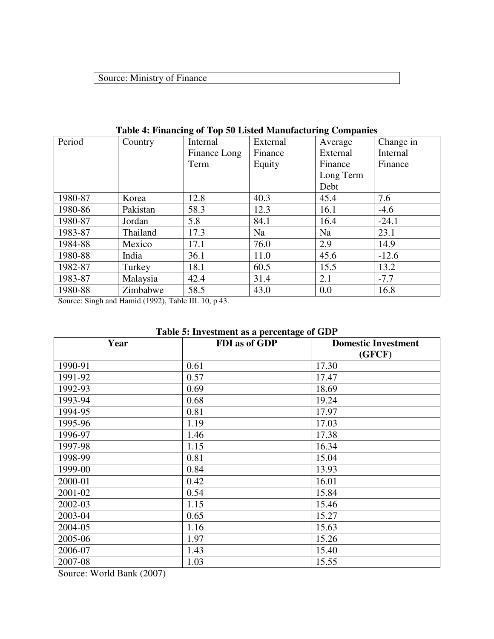## Source: Ministry of Finance

|         | Table <b>+.</b> Financing of Top 30 Eisted Manufacturing Companies |              |          |           |           |
|---------|--------------------------------------------------------------------|--------------|----------|-----------|-----------|
| Period  | Country                                                            | Internal     | External | Average   | Change in |
|         |                                                                    | Finance Long | Finance  | External  | Internal  |
|         |                                                                    | Term         | Equity   | Finance   | Finance   |
|         |                                                                    |              |          | Long Term |           |
|         |                                                                    |              |          | Debt      |           |
| 1980-87 | Korea                                                              | 12.8         | 40.3     | 45.4      | 7.6       |
| 1980-86 | Pakistan                                                           | 58.3         | 12.3     | 16.1      | $-4.6$    |
| 1980-87 | Jordan                                                             | 5.8          | 84.1     | 16.4      | $-24.1$   |
| 1983-87 | Thailand                                                           | 17.3         | Na       | Na        | 23.1      |
| 1984-88 | Mexico                                                             | 17.1         | 76.0     | 2.9       | 14.9      |
| 1980-88 | India                                                              | 36.1         | 11.0     | 45.6      | $-12.6$   |
| 1982-87 | Turkey                                                             | 18.1         | 60.5     | 15.5      | 13.2      |
| 1983-87 | Malaysia                                                           | 42.4         | 31.4     | 2.1       | $-7.7$    |
| 1980-88 | Zimbabwe                                                           | 58.5         | 43.0     | 0.0       | 16.8      |

## **Table 4: Financing of Top 50 Listed Manufacturing Companies**

Source: Singh and Hamid (1992), Table III. 10, p 43.

## **Table 5: Investment as a percentage of GDP**

| Year    | <b>FDI</b> as of GDP | <b>Domestic Investment</b> |
|---------|----------------------|----------------------------|
|         |                      | (GFCF)                     |
| 1990-91 | 0.61                 | 17.30                      |
| 1991-92 | 0.57                 | 17.47                      |
| 1992-93 | 0.69                 | 18.69                      |
| 1993-94 | 0.68                 | 19.24                      |
| 1994-95 | 0.81                 | 17.97                      |
| 1995-96 | 1.19                 | 17.03                      |
| 1996-97 | 1.46                 | 17.38                      |
| 1997-98 | 1.15                 | 16.34                      |
| 1998-99 | 0.81                 | 15.04                      |
| 1999-00 | 0.84                 | 13.93                      |
| 2000-01 | 0.42                 | 16.01                      |
| 2001-02 | 0.54                 | 15.84                      |
| 2002-03 | 1.15                 | 15.46                      |
| 2003-04 | 0.65                 | 15.27                      |
| 2004-05 | 1.16                 | 15.63                      |
| 2005-06 | 1.97                 | 15.26                      |
| 2006-07 | 1.43                 | 15.40                      |
| 2007-08 | 1.03                 | 15.55                      |

Source: World Bank (2007)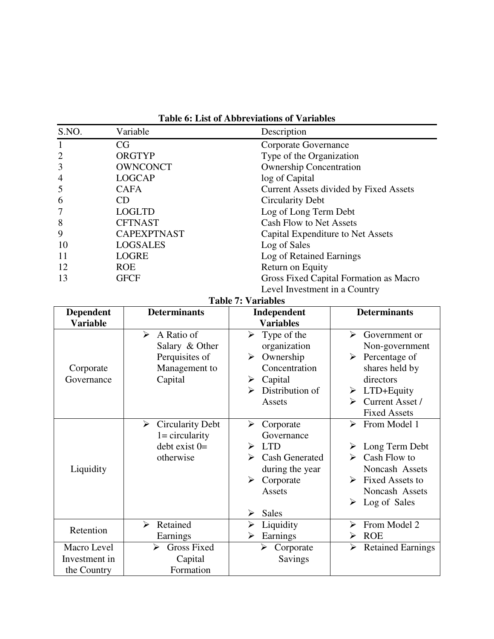|  |  | <b>Table 6: List of Abbreviations of Variables</b> |  |  |
|--|--|----------------------------------------------------|--|--|
|--|--|----------------------------------------------------|--|--|

| S.NO. | Variable           | Description                            |  |
|-------|--------------------|----------------------------------------|--|
|       | CG                 | Corporate Governance                   |  |
| 2     | ORGTYP             | Type of the Organization               |  |
| 3     | <b>OWNCONCT</b>    | <b>Ownership Concentration</b>         |  |
| 4     | <b>LOGCAP</b>      | log of Capital                         |  |
| 5     | <b>CAFA</b>        | Current Assets divided by Fixed Assets |  |
| 6     | <b>CD</b>          | <b>Circularity Debt</b>                |  |
|       | <b>LOGLTD</b>      | Log of Long Term Debt                  |  |
| 8     | <b>CFTNAST</b>     | <b>Cash Flow to Net Assets</b>         |  |
| 9     | <b>CAPEXPTNAST</b> | Capital Expenditure to Net Assets      |  |
| 10    | <b>LOGSALES</b>    | Log of Sales                           |  |
| 11    | <b>LOGRE</b>       | Log of Retained Earnings               |  |
| 12    | <b>ROE</b>         | Return on Equity                       |  |
| 13    | <b>GFCF</b>        | Gross Fixed Capital Formation as Macro |  |
|       |                    | Level Investment in a Country          |  |

#### **Table 7: Variables**

| <b>Dependent</b>                            | <b>Determinants</b>                                                                                   | Independent                                                                                                                                  | <b>Determinants</b>                                                                                                                                                     |
|---------------------------------------------|-------------------------------------------------------------------------------------------------------|----------------------------------------------------------------------------------------------------------------------------------------------|-------------------------------------------------------------------------------------------------------------------------------------------------------------------------|
| <b>Variable</b>                             |                                                                                                       | <b>Variables</b>                                                                                                                             |                                                                                                                                                                         |
| Corporate<br>Governance                     | A Ratio of<br>$\blacktriangleright$<br>Salary & Other<br>Perquisites of<br>Management to<br>Capital   | Type of the<br>$\blacktriangleright$<br>organization<br>Ownership<br>➤<br>Concentration<br>Capital<br>➤<br>Distribution of<br>↘<br>Assets    | ↘<br>Government or<br>Non-government<br>Percentage of<br>➤<br>shares held by<br>directors<br>$\triangleright$ LTD+Equity<br>Current Asset /<br>➤<br><b>Fixed Assets</b> |
| Liquidity                                   | $\blacktriangleright$<br><b>Circularity Debt</b><br>$1 =$ circularity<br>$debt exist 0=$<br>otherwise | ➤<br>Corporate<br>Governance<br><b>LTD</b><br>➤<br><b>Cash Generated</b><br>during the year<br>Corporate<br>➤<br>Assets<br><b>Sales</b><br>➤ | From Model 1<br>↘<br>Long Term Debt<br>Cash Flow to<br>➤<br>Noncash Assets<br><b>Fixed Assets to</b><br>➤<br>Noncash Assets<br>Log of Sales<br>➤                        |
| Retention                                   | Retained<br>➤<br>Earnings                                                                             | Liquidity<br>➤<br>Earnings<br>➤                                                                                                              | From Model 2<br>↘<br><b>ROE</b>                                                                                                                                         |
| Macro Level<br>Investment in<br>the Country | <b>Gross Fixed</b><br>≻<br>Capital<br>Formation                                                       | Corporate<br>➤<br><b>Savings</b>                                                                                                             | <b>Retained Earnings</b>                                                                                                                                                |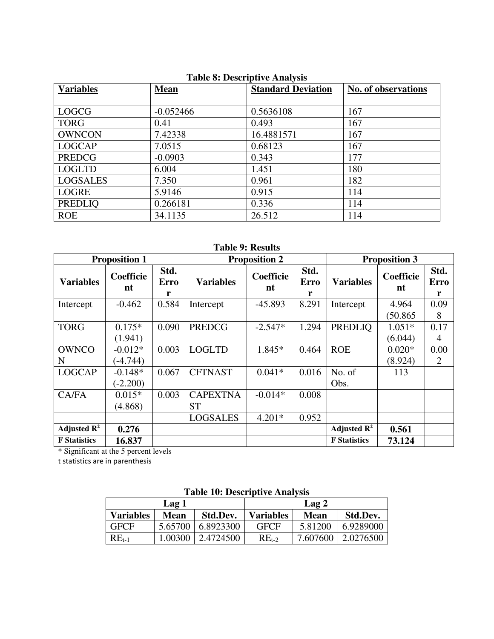| $\sim$ 0. $\sim$ 0. $\sim$ 0. $\sim$ 0. $\sim$ 0. $\sim$ 0. $\sim$ |             |                           |                            |  |  |  |
|--------------------------------------------------------------------|-------------|---------------------------|----------------------------|--|--|--|
| <b>Variables</b>                                                   | <b>Mean</b> | <b>Standard Deviation</b> | <b>No. of observations</b> |  |  |  |
|                                                                    |             |                           |                            |  |  |  |
| <b>LOGCG</b>                                                       | $-0.052466$ | 0.5636108                 | 167                        |  |  |  |
| <b>TORG</b>                                                        | 0.41        | 0.493                     | 167                        |  |  |  |
| <b>OWNCON</b>                                                      | 7.42338     | 16.4881571                | 167                        |  |  |  |
| <b>LOGCAP</b>                                                      | 7.0515      | 0.68123                   | 167                        |  |  |  |
| <b>PREDCG</b>                                                      | $-0.0903$   | 0.343                     | 177                        |  |  |  |
| <b>LOGLTD</b>                                                      | 6.004       | 1.451                     | 180                        |  |  |  |
| <b>LOGSALES</b>                                                    | 7.350       | 0.961                     | 182                        |  |  |  |
| <b>LOGRE</b>                                                       | 5.9146      | 0.915                     | 114                        |  |  |  |
| <b>PREDLIQ</b>                                                     | 0.266181    | 0.336                     | 114                        |  |  |  |
| <b>ROE</b>                                                         | 34.1135     | 26.512                    | 114                        |  |  |  |

## **Table 8: Descriptive Analysis**

## **Table 9: Results**

| <b>Proposition 1</b>    |                 | <b>Proposition 2</b>     |                  |                 | <b>Proposition 3</b>     |                         |                 |                          |
|-------------------------|-----------------|--------------------------|------------------|-----------------|--------------------------|-------------------------|-----------------|--------------------------|
| <b>Variables</b>        | Coefficie<br>nt | Std.<br><b>Erro</b><br>r | <b>Variables</b> | Coefficie<br>nt | Std.<br><b>Erro</b><br>r | <b>Variables</b>        | Coefficie<br>nt | Std.<br><b>Erro</b><br>r |
| Intercept               | $-0.462$        | 0.584                    | Intercept        | $-45.893$       | 8.291                    | Intercept               | 4.964           | 0.09                     |
|                         |                 |                          |                  |                 |                          |                         | (50.865)        | 8                        |
| <b>TORG</b>             | $0.175*$        | 0.090                    | <b>PREDCG</b>    | $-2.547*$       | 1.294                    | <b>PREDLIQ</b>          | $1.051*$        | 0.17                     |
|                         | (1.941)         |                          |                  |                 |                          |                         | (6.044)         | 4                        |
| <b>OWNCO</b>            | $-0.012*$       | 0.003                    | <b>LOGLTD</b>    | 1.845*          | 0.464                    | <b>ROE</b>              | $0.020*$        | 0.00                     |
| N                       | $(-4.744)$      |                          |                  |                 |                          |                         | (8.924)         | 2                        |
| <b>LOGCAP</b>           | $-0.148*$       | 0.067                    | <b>CFTNAST</b>   | $0.041*$        | 0.016                    | No. of                  | 113             |                          |
|                         | $(-2.200)$      |                          |                  |                 |                          | Obs.                    |                 |                          |
| CA/FA                   | $0.015*$        | 0.003                    | <b>CAPEXTNA</b>  | $-0.014*$       | 0.008                    |                         |                 |                          |
|                         | (4.868)         |                          | <b>ST</b>        |                 |                          |                         |                 |                          |
|                         |                 |                          | <b>LOGSALES</b>  | $4.201*$        | 0.952                    |                         |                 |                          |
| Adjusted $\mathbb{R}^2$ | 0.276           |                          |                  |                 |                          | Adjusted $\mathbb{R}^2$ | 0.561           |                          |
| <b>F</b> Statistics     | 16.837          |                          |                  |                 |                          | <b>F</b> Statistics     | 73.124          |                          |

\* Significant at the 5 percent levels

t statistics are in parenthesis

| Lable TV. Descriptive Alialysis |         |           |                  |          |                  |
|---------------------------------|---------|-----------|------------------|----------|------------------|
| Lag 1                           |         |           |                  | Lag 2    |                  |
| <b>Variables</b>                | Mean    | Std.Dev.  | <b>Variables</b> | Mean     | Std.Dev.         |
| <b>GFCF</b>                     | 5.65700 | 6.8923300 | <b>GFCF</b>      | 5.81200  | 6.9289000        |
| $RE_{t-1}$                      | 1.00300 | 2.4724500 | $REt-2$          | 7.607600 | $\mid$ 2.0276500 |

## **Table 10: Descriptive Analysis**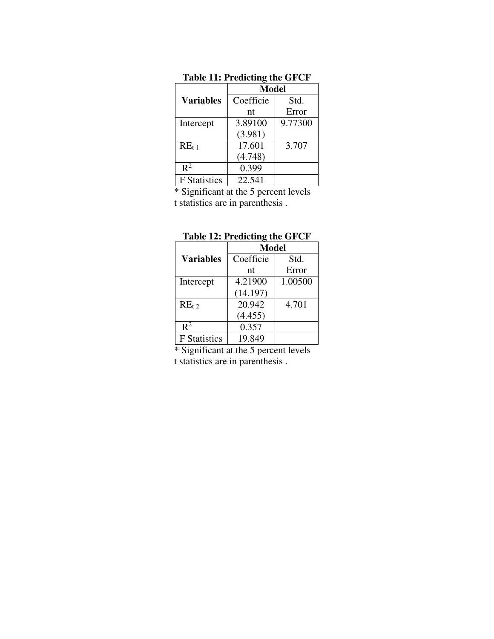|                     | Model     |         |  |
|---------------------|-----------|---------|--|
| <b>Variables</b>    | Coefficie | Std.    |  |
|                     | nt        | Error   |  |
| Intercept           | 3.89100   | 9.77300 |  |
|                     | (3.981)   |         |  |
| $RE_{t-1}$          | 17.601    | 3.707   |  |
|                     | (4.748)   |         |  |
| $\mathbb{R}^2$      | 0.399     |         |  |
| <b>F</b> Statistics | 22.541    |         |  |

**Table 11: Predicting the GFCF** 

\* Significant at the 5 percent levels t statistics are in parenthesis .

|                     | <b>Model</b> |         |  |
|---------------------|--------------|---------|--|
| <b>Variables</b>    | Coefficie    | Std.    |  |
|                     | nt           | Error   |  |
| Intercept           | 4.21900      | 1.00500 |  |
|                     | (14.197)     |         |  |
| $REt-2$             | 20.942       | 4.701   |  |
|                     | (4.455)      |         |  |
| $\mathbb{R}^2$      | 0.357        |         |  |
| <b>F</b> Statistics | 19.849       |         |  |

| Table 12: Predicting the GFCF |  |  |
|-------------------------------|--|--|
|-------------------------------|--|--|

\* Significant at the 5 percent levels t statistics are in parenthesis .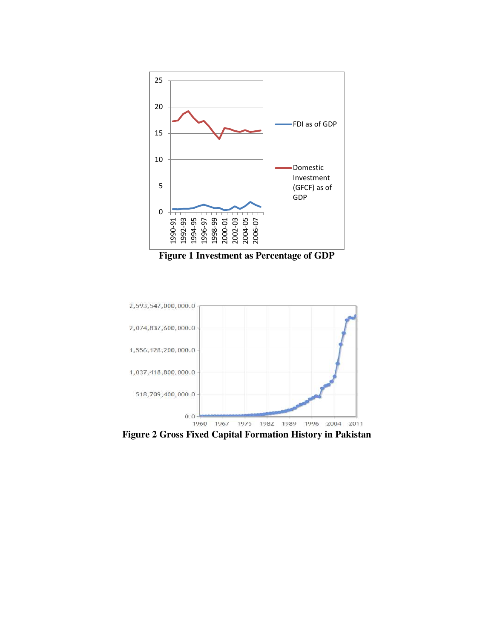





**Figure 2 Gross Fixed Capital Formation History in Pakistan**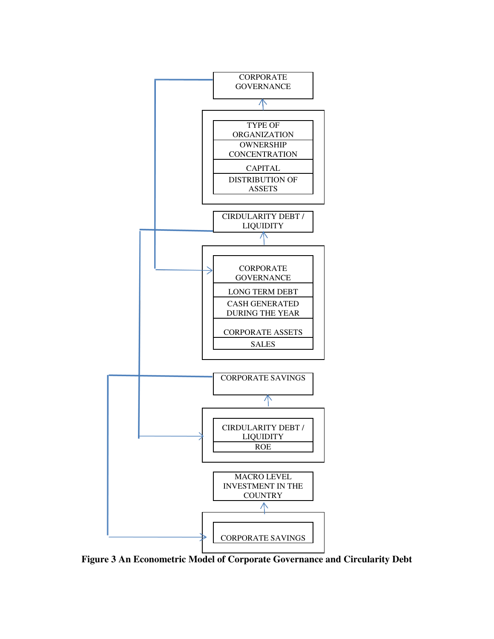

**Figure 3 An Econometric Model of Corporate Governance and Circularity Debt**